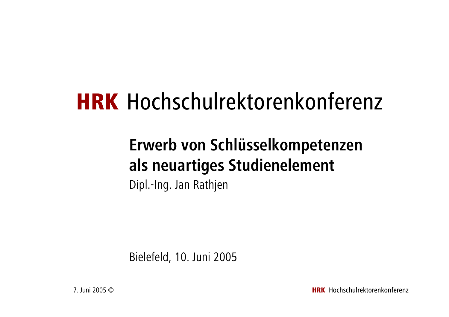# **HRK** Hochschulrektorenkonferenz

# Erwerb von Schlüsselkompetenzen als neuartiges Studienelement

Dipl.-Ing. Jan Rathjen

Bielefeld, 10. Juni 2005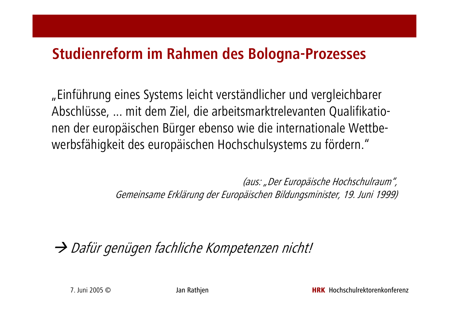### **Studienreform im Rahmen des Bologna-Prozesses**

"Einführung eines Systems leicht verständlicher und vergleichbarer Abschlüsse, ... mit dem Ziel, die arbeitsmarktrelevanten Qualifikationen der europäischen Bürger ebenso wie die internationale Wettbewerbsfähigkeit des europäischen Hochschulsystems zu fördern."

> (aus: "Der Europäische Hochschulraum", Gemeinsame Erklärung der Europäischen Bildungsminister, 19. Juni 1999)

Dafür genügen fachliche Kompetenzen nicht!

7. Iuni 2005 C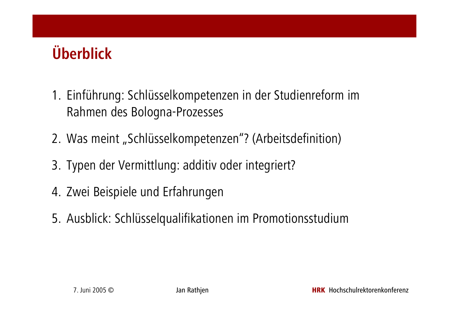# **Überblick**

- 1. Einführung: Schlüsselkompetenzen in der Studienreform im Rahmen des Bologna-Prozesses
- 2. Was meint "Schlüsselkompetenzen"? (Arbeitsdefinition)
- 3. Typen der Vermittlung: additiv oder integriert?
- 4. Zwei Beispiele und Erfahrungen
- 5. Ausblick: Schlüsselqualifikationen im Promotionsstudium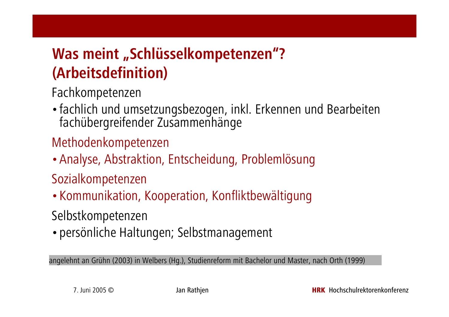## Was meint "Schlüsselkompetenzen"? (Arbeitsdefinition)

Fachkompetenzen

• fachlich und umsetzungsbezogen, inkl. Erkennen und Bearbeiten fachübergreifender Zusammenhänge

Methodenkompetenzen

• Analyse, Abstraktion, Entscheidung, Problemlösung

Sozialkompetenzen

• Kommunikation, Kooperation, Konfliktbewältigung

Selbstkompetenzen

• persönliche Haltungen; Selbstmanagement

angelehnt an Grühn (2003) in Welbers (Hg.), Studienreform mit Bachelor und Master, nach Orth (1999)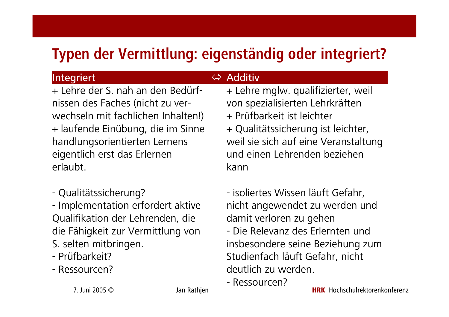### Typen der Vermittlung: eigenständig oder integriert?

#### Integriert

+ Lehre der S. nah an den Bedürfnissen des Faches (nicht zu verwechseln mit fachlichen Inhalten!) + laufende Einübung, die im Sinne handlungsorientierten Lernens eigentlich erst das Erlernen erlaubt

- Qualitätssicherung?

- Implementation erfordert aktive Qualifikation der Lehrenden, die die Fähigkeit zur Vermittlung von S. selten mitbringen.

- Prüfbarkeit?
- Ressourcen?

#### ⇔ Additiv

+ Lehre mglw. qualifizierter, weil von spezialisierten Lehrkräften + Prüfbarkeit ist leichter + Qualitätssicherung ist leichter, weil sie sich auf eine Veranstaltung und einen Lehrenden beziehen kann

- isoliertes Wissen läuft Gefahr, nicht angewendet zu werden und damit verloren zu gehen - Die Relevanz des Erlernten und
- insbesondere seine Beziehung zum Studienfach läuft Gefahr, nicht deutlich zu werden.
- Ressourcen?

Jan Rathjen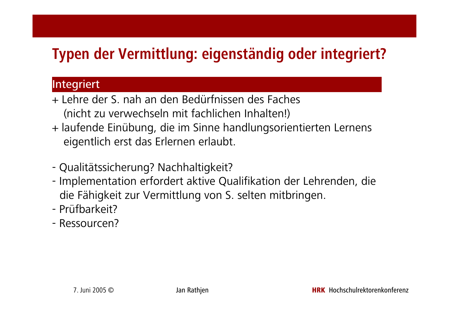### Typen der Vermittlung: eigenständig oder integriert?

#### Integriert

- + Lehre der S. nah an den Bedürfnissen des Faches (nicht zu verwechseln mit fachlichen Inhalten!)
- + laufende Einübung, die im Sinne handlungsorientierten Lernens eigentlich erst das Erlernen erlaubt.
- Qualitätssicherung? Nachhaltigkeit?
- Implementation erfordert aktive Qualifikation der Lehrenden, die die Fähigkeit zur Vermittlung von S. selten mitbringen.
- Prüfbarkeit?
- Ressourcen?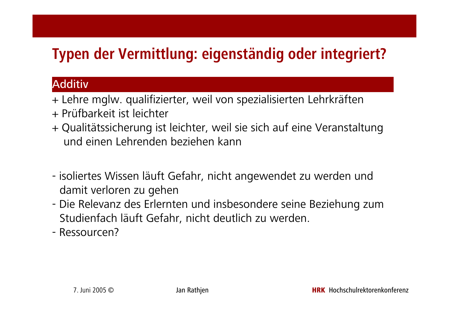### Typen der Vermittlung: eigenständig oder integriert?

#### **Additiv**

- + Lehre mglw. qualifizierter, weil von spezialisierten Lehrkräften
- + Prüfbarkeit ist leichter
- + Qualitätssicherung ist leichter, weil sie sich auf eine Veranstaltung und einen Lehrenden beziehen kann
- isoliertes Wissen läuft Gefahr, nicht angewendet zu werden und damit verloren zu gehen
- Die Relevanz des Erlernten und insbesondere seine Beziehung zum Studienfach läuft Gefahr, nicht deutlich zu werden.
- Ressourcen?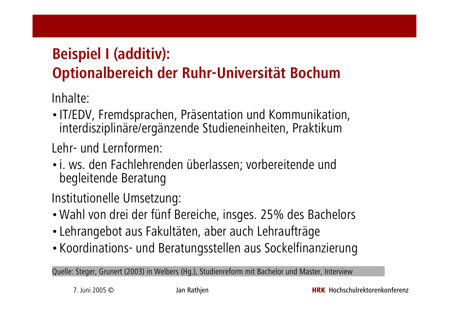# **Beispiel I (additiv):** Optionalbereich der Ruhr-Universität Bochum

Inhalte:

• IT/EDV, Fremdsprachen, Präsentation und Kommunikation, interdisziplinäre/ergänzende Studieneinheiten, Praktikum

Lehr- und Lernformen:

• i. ws. den Fachlehrenden überlassen; vorbereitende und begleitende Beratung

Institutionelle Umsetzung:

- Wahl von drei der fünf Bereiche, insges. 25% des Bachelors
- Lehrangebot aus Fakultäten, aber auch Lehraufträge
- Koordinations- und Beratungsstellen aus Sockelfinanzierung

Quelle: Steger, Grunert (2003) in Welbers (Hg.), Studienreform mit Bachelor und Master, Interview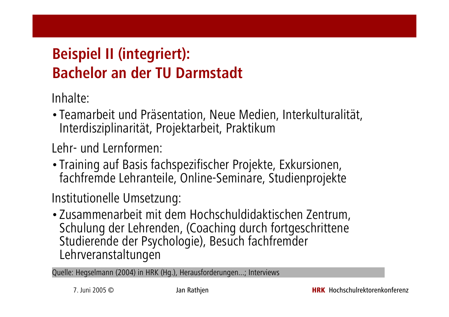## **Beispiel II (integriert): Bachelor an der TU Darmstadt**

Inhalte:

• Teamarbeit und Präsentation, Neue Medien, Interkulturalität, Interdisziplinarität, Projektarbeit, Praktikum

Lehr- und Lernformen:

• Training auf Basis fachspezifischer Projekte, Exkursionen, fachfremde Lehranteile, Online-Seminare, Studienprojekte

Institutionelle Umsetzung:

•Zusammenarbeit mit dem Hochschuldidaktischen Zentrum, Schulung der Lehrenden, (Coaching durch fortgeschrittene Studierende der Psychologie), Besuch fachfremder Lehrveranstaltungen

Quelle: Hegselmann (2004) in HRK (Hg.), Herausforderungen...; Interviews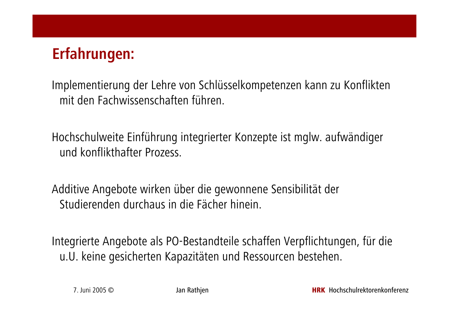### **Erfahrungen:**

Implementierung der Lehre von Schlüsselkompetenzen kann zu Konflikten mit den Fachwissenschaften führen.

Hochschulweite Einführung integrierter Konzepte ist mglw. aufwändiger und konflikthafter Prozess.

Additive Angebote wirken über die gewonnene Sensibilität der Studierenden durchaus in die Fächer hinein.

Integrierte Angebote als PO-Bestandteile schaffen Verpflichtungen, für die u.U. keine gesicherten Kapazitäten und Ressourcen bestehen.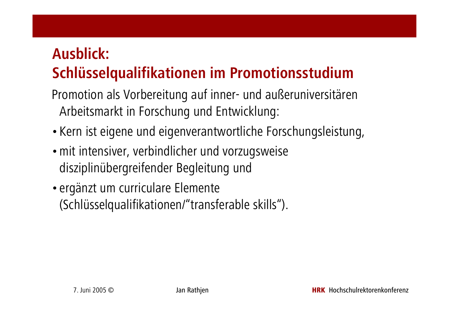# **Ausblick:**

# Schlüsselqualifikationen im Promotionsstudium

Promotion als Vorbereitung auf inner- und außeruniversitären Arbeitsmarkt in Forschung und Entwicklung:

- Kern ist eigene und eigenverantwortliche Forschungsleistung,
- mit intensiver, verbindlicher und vorzugsweise disziplinübergreifender Begleitung und
- · ergänzt um curriculare Elemente (Schlüsselqualifikationen/"transferable skills").